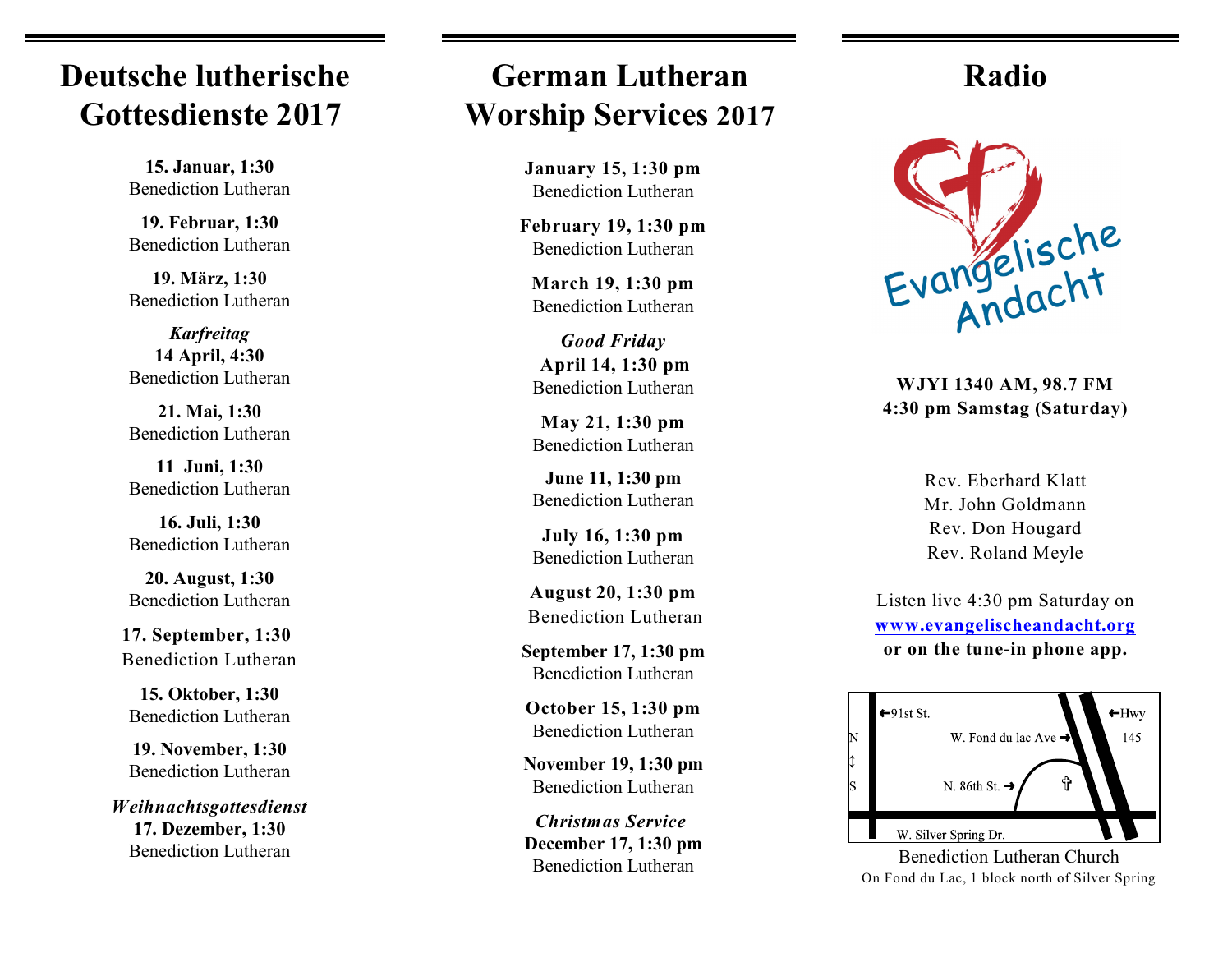## **Deutsche lutherische Gottesdienste 2017**

**15. Januar, 1:30** Benediction Lutheran

**19. Februar, 1:30** Benediction Lutheran

**19. März, 1:30** Benediction Lutheran

*Karfreitag*  **14 April, 4:30**  Benediction Lutheran

**21. Mai, 1:30** Benediction Lutheran

**11 Juni, 1:30** Benediction Lutheran

**16. Juli, 1:30** Benediction Lutheran

**20. August, 1:30** Benediction Lutheran

**17. September, 1:30** Benediction Lutheran

**15. Oktober, 1:30** Benediction Lutheran

**19. November, 1:30** Benediction Lutheran

*Weihnachtsgottesdienst* **17. Dezember, 1:30** Benediction Lutheran

## **German Lutheran Worship Services 2017**

**January 15, 1:30 pm** Benediction Lutheran

**February 19, 1:30 pm** Benediction Lutheran

**March 19, 1:30 pm** Benediction Lutheran

*Good Friday* **April 14, 1:30 pm** Benediction Lutheran

**May 21, 1:30 pm** Benediction Lutheran

**June 11, 1:30 pm** Benediction Lutheran

**July 16, 1:30 pm** Benediction Lutheran

**August 20, 1:30 pm** Benediction Lutheran

**September 17, 1:30 pm** Benediction Lutheran

**October 15, 1:30 pm** Benediction Lutheran

**November 19, 1:30 pm** Benediction Lutheran

*Christmas Service* **December 17, 1:30 pm** Benediction Lutheran

### **Radio**



**WJYI 1340 AM, 98.7 FM 4:30 pm Samstag (Saturday)**

Rev. Eberhard Klatt Mr. John Goldmann Rev. Don Hougard Rev. Roland Meyle

Listen live 4:30 pm Saturday on **[www.evangelischeandacht.org](http://www.evangelischeandacht.org) or on the tune-in phone app.**



Benediction Lutheran Church On Fond du Lac, 1 block north of Silver Spring